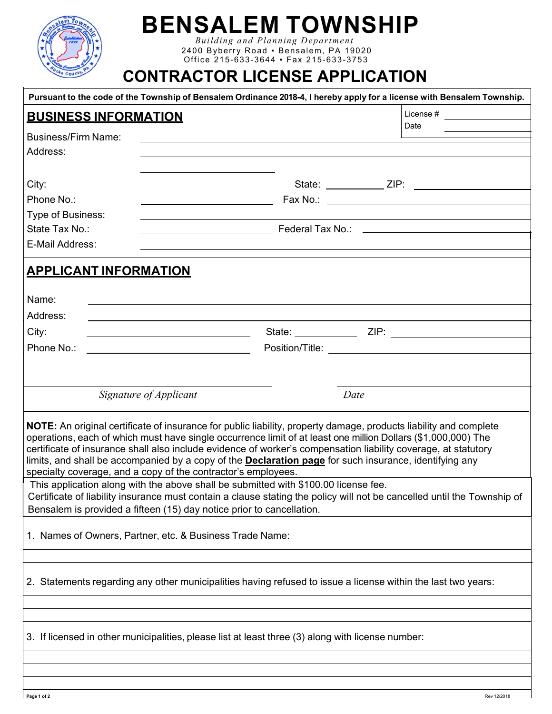

## **BENSALEM TOWNSHIP**

*Bui l d i ng and Pl anni ng Depart m ent*  2400 Byberry Road • Bensalem, PA 19020 Offi ce 2 1 5 - 63 3-3644 ▪ Fax 215 -633 -3 753

### **CONTRACTOR LICENSE APPLICATION**

|                              |                                                                                                                      | Pursuant to the code of the Township of Bensalem Ordinance 2018-4, I hereby apply for a license with Bensalem Township. |  |
|------------------------------|----------------------------------------------------------------------------------------------------------------------|-------------------------------------------------------------------------------------------------------------------------|--|
| <b>BUSINESS INFORMATION</b>  |                                                                                                                      | License # $\qquad \qquad \qquad$                                                                                        |  |
| Business/Firm Name:          |                                                                                                                      | Date                                                                                                                    |  |
| Address:                     |                                                                                                                      |                                                                                                                         |  |
|                              |                                                                                                                      |                                                                                                                         |  |
|                              |                                                                                                                      |                                                                                                                         |  |
| City:<br>Phone No.:          |                                                                                                                      |                                                                                                                         |  |
| Type of Business:            |                                                                                                                      |                                                                                                                         |  |
| State Tax No.:               |                                                                                                                      |                                                                                                                         |  |
| E-Mail Address:              |                                                                                                                      |                                                                                                                         |  |
|                              |                                                                                                                      |                                                                                                                         |  |
| <b>APPLICANT INFORMATION</b> |                                                                                                                      |                                                                                                                         |  |
|                              |                                                                                                                      |                                                                                                                         |  |
| Name:                        |                                                                                                                      |                                                                                                                         |  |
| Address:                     | <u> 1989 - Johann Stein, mars an deutscher Stein und der Stein und der Stein und der Stein und der Stein und der</u> |                                                                                                                         |  |
| City:                        | <u> 1989 - Johann Barbara, martin amerikan basar da</u>                                                              |                                                                                                                         |  |
| Phone No.:                   | <u> 1989 - Johann Barn, mars eta bat erroman erroman erroman erroman erroman erroman erroman erroman erroman err</u> |                                                                                                                         |  |
|                              |                                                                                                                      |                                                                                                                         |  |
|                              |                                                                                                                      |                                                                                                                         |  |
|                              | Signature of Applicant                                                                                               | Date                                                                                                                    |  |
|                              |                                                                                                                      |                                                                                                                         |  |
|                              |                                                                                                                      |                                                                                                                         |  |
|                              |                                                                                                                      | NOTE: An original certificate of insurance for public liability, property damage, products liability and complete       |  |
|                              |                                                                                                                      | operations, each of which must have single occurrence limit of at least one million Dollars (\$1,000,000) The           |  |
|                              |                                                                                                                      | certificate of insurance shall also include evidence of worker's compensation liability coverage, at statutory          |  |
|                              | specialty coverage, and a copy of the contractor's employees.                                                        | limits, and shall be accompanied by a copy of the <b>Declaration page</b> for such insurance, identifying any           |  |
|                              | This application along with the above shall be submitted with \$100.00 license fee.                                  |                                                                                                                         |  |
|                              |                                                                                                                      | Certificate of liability insurance must contain a clause stating the policy will not be cancelled until the Township of |  |
|                              | Bensalem is provided a fifteen (15) day notice prior to cancellation.                                                |                                                                                                                         |  |
|                              |                                                                                                                      |                                                                                                                         |  |
|                              | 1. Names of Owners, Partner, etc. & Business Trade Name:                                                             |                                                                                                                         |  |
|                              |                                                                                                                      |                                                                                                                         |  |
|                              |                                                                                                                      |                                                                                                                         |  |
|                              |                                                                                                                      | 2. Statements regarding any other municipalities having refused to issue a license within the last two years:           |  |
|                              |                                                                                                                      |                                                                                                                         |  |
|                              |                                                                                                                      |                                                                                                                         |  |
|                              | 3. If licensed in other municipalities, please list at least three (3) along with license number:                    |                                                                                                                         |  |
|                              |                                                                                                                      |                                                                                                                         |  |